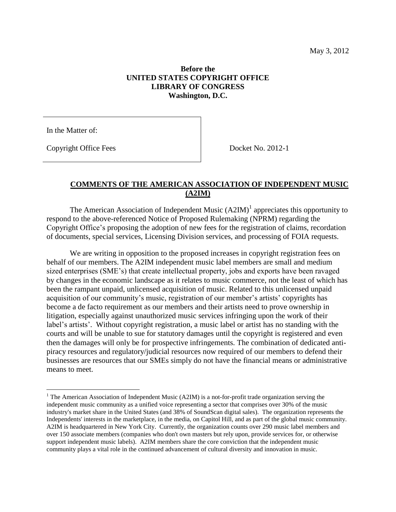## **Before the UNITED STATES COPYRIGHT OFFICE LIBRARY OF CONGRESS Washington, D.C.**

In the Matter of:

 $\overline{a}$ 

Copyright Office Fees Docket No. 2012-1

## **COMMENTS OF THE AMERICAN ASSOCIATION OF INDEPENDENT MUSIC (A2IM)**

The American Association of Independent Music  $(A2IM)^1$  appreciates this opportunity to respond to the above-referenced Notice of Proposed Rulemaking (NPRM) regarding the Copyright Office's proposing the adoption of new fees for the registration of claims, recordation of documents, special services, Licensing Division services, and processing of FOIA requests.

We are writing in opposition to the proposed increases in copyright registration fees on behalf of our members. The A2IM independent music label members are small and medium sized enterprises (SME's) that create intellectual property, jobs and exports have been ravaged by changes in the economic landscape as it relates to music commerce, not the least of which has been the rampant unpaid, unlicensed acquisition of music. Related to this unlicensed unpaid acquisition of our community's music, registration of our member's artists' copyrights has become a de facto requirement as our members and their artists need to prove ownership in litigation, especially against unauthorized music services infringing upon the work of their label's artists'. Without copyright registration, a music label or artist has no standing with the courts and will be unable to sue for statutory damages until the copyright is registered and even then the damages will only be for prospective infringements. The combination of dedicated antipiracy resources and regulatory/judicial resources now required of our members to defend their businesses are resources that our SMEs simply do not have the financial means or administrative means to meet.

<sup>&</sup>lt;sup>1</sup> The American Association of Independent Music (A2IM) is a not-for-profit trade organization serving the independent music community as a unified voice representing a sector that comprises over 30% of the music industry's market share in the United States (and 38% of SoundScan digital sales). The organization represents the Independents' interests in the marketplace, in the media, on Capitol Hill, and as part of the global music community. A2IM is headquartered in New York City. Currently, the organization counts over 290 music label members and over 150 associate members (companies who don't own masters but rely upon, provide services for, or otherwise support independent music labels). A2IM members share the core conviction that the independent music community plays a vital role in the continued advancement of cultural diversity and innovation in music.